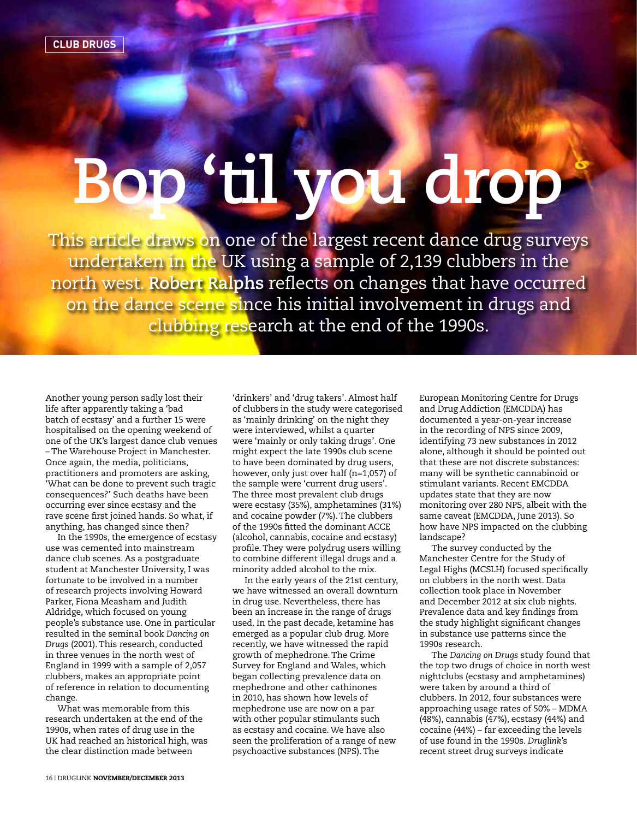## **Bop 'til you drop**

This article draws on one of the largest recent dance drug surveys undertaken in the UK using a sample of 2,139 clubbers in the north west. **Robert Ralphs** reflects on changes that have occurred on the dance scene since his initial involvement in drugs and clubbing research at the end of the 1990s.

Another young person sadly lost their life after apparently taking a 'bad batch of ecstasy' and a further 15 were hospitalised on the opening weekend of one of the UK's largest dance club venues – The Warehouse Project in Manchester. Once again, the media, politicians, practitioners and promoters are asking, 'What can be done to prevent such tragic consequences?' Such deaths have been occurring ever since ecstasy and the rave scene first joined hands. So what, if anything, has changed since then?

In the 1990s, the emergence of ecstasy use was cemented into mainstream dance club scenes. As a postgraduate student at Manchester University, I was fortunate to be involved in a number of research projects involving Howard Parker, Fiona Measham and Judith Aldridge, which focused on young people's substance use. One in particular resulted in the seminal book *Dancing on Drugs* (2001). This research, conducted in three venues in the north west of England in 1999 with a sample of 2,057 clubbers, makes an appropriate point of reference in relation to documenting change.

What was memorable from this research undertaken at the end of the 1990s, when rates of drug use in the UK had reached an historical high, was the clear distinction made between

'drinkers' and 'drug takers'. Almost half of clubbers in the study were categorised as 'mainly drinking' on the night they were interviewed, whilst a quarter were 'mainly or only taking drugs'. One might expect the late 1990s club scene to have been dominated by drug users, however, only just over half (n=1,057) of the sample were 'current drug users'. The three most prevalent club drugs were ecstasy (35%), amphetamines (31%) and cocaine powder (7%). The clubbers of the 1990s fitted the dominant ACCE (alcohol, cannabis, cocaine and ecstasy) profile. They were polydrug users willing to combine different illegal drugs and a minority added alcohol to the mix.

In the early years of the 21st century, we have witnessed an overall downturn in drug use. Nevertheless, there has been an increase in the range of drugs used. In the past decade, ketamine has emerged as a popular club drug. More recently, we have witnessed the rapid growth of mephedrone. The Crime Survey for England and Wales, which began collecting prevalence data on mephedrone and other cathinones in 2010, has shown how levels of mephedrone use are now on a par with other popular stimulants such as ecstasy and cocaine. We have also seen the proliferation of a range of new psychoactive substances (NPS). The

European Monitoring Centre for Drugs and Drug Addiction (EMCDDA) has documented a year-on-year increase in the recording of NPS since 2009, identifying 73 new substances in 2012 alone, although it should be pointed out that these are not discrete substances: many will be synthetic cannabinoid or stimulant variants. Recent EMCDDA updates state that they are now monitoring over 280 NPS, albeit with the same caveat (EMCDDA, June 2013). So how have NPS impacted on the clubbing landscape?

The survey conducted by the Manchester Centre for the Study of Legal Highs (MCSLH) focused specifically on clubbers in the north west. Data collection took place in November and December 2012 at six club nights. Prevalence data and key findings from the study highlight significant changes in substance use patterns since the 1990s research.

The *Dancing on Drugs* study found that the top two drugs of choice in north west nightclubs (ecstasy and amphetamines) were taken by around a third of clubbers. In 2012, four substances were approaching usage rates of 50% – MDMA (48%), cannabis (47%), ecstasy (44%) and cocaine (44%) – far exceeding the levels of use found in the 1990s. *Druglink*'s recent street drug surveys indicate